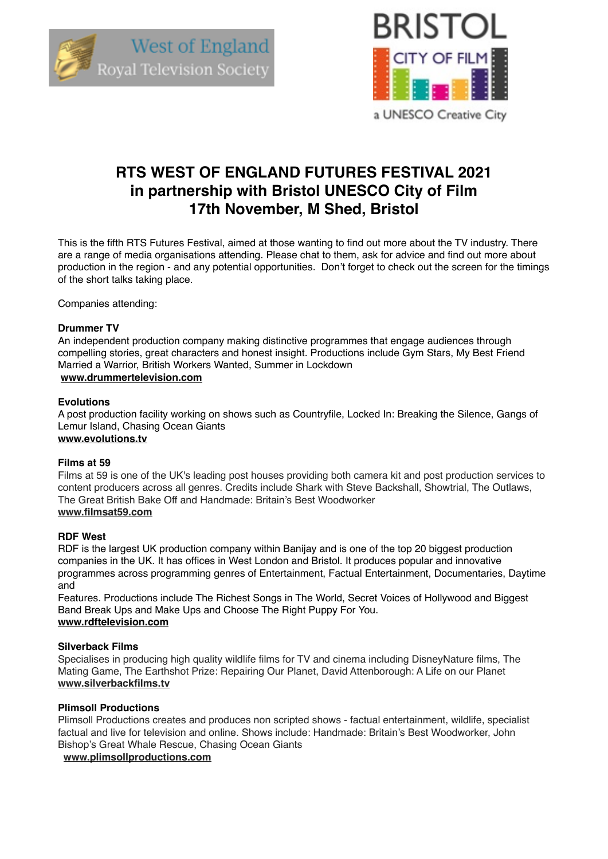



# **RTS WEST OF ENGLAND FUTURES FESTIVAL 2021 in partnership with Bristol UNESCO City of Film 17th November, M Shed, Bristol**

This is the fifth RTS Futures Festival, aimed at those wanting to find out more about the TV industry. There are a range of media organisations attending. Please chat to them, ask for advice and find out more about production in the region - and any potential opportunities. Don't forget to check out the screen for the timings of the short talks taking place.

Companies attending:

#### **Drummer TV**

An independent production company making distinctive programmes that engage audiences through compelling stories, great characters and honest insight. Productions include Gym Stars, My Best Friend Married a Warrior, British Workers Wanted, Summer in Lockdown **[www.drummertelevision.com](http://www.drummertelevision.com)**

#### **Evolutions**

A post production facility working on shows such as Countryfile, Locked In: Breaking the Silence, Gangs of Lemur Island, Chasing Ocean Giants

### **www.evolutions.tv**

#### **Films at 59**

Films at 59 is one of the UK's leading post houses providing both camera kit and post production services to content producers across all genres. Credits include Shark with Steve Backshall, Showtrial, The Outlaws, The Great British Bake Off and Handmade: Britain's Best Woodworker **www.filmsat59.com**

#### **RDF West**

RDF is the largest UK production company within Banijay and is one of the top 20 biggest production companies in the UK. It has offices in West London and Bristol. It produces popular and innovative programmes across programming genres of Entertainment, Factual Entertainment, Documentaries, Daytime and

Features. Productions include The Richest Songs in The World, Secret Voices of Hollywood and Biggest Band Break Ups and Make Ups and Choose The Right Puppy For You. **[www.rdftelevision.com](http://www.rdftelevision.com)**

#### **Silverback Films**

Specialises in producing high quality wildlife films for TV and cinema including DisneyNature films, The Mating Game, The Earthshot Prize: Repairing Our Planet, David Attenborough: A Life on our Planet **[www.silverbackfilms.tv](http://www.silverbackfilms.tv)**

#### **Plimsoll Productions**

Plimsoll Productions creates and produces non scripted shows - factual entertainment, wildlife, specialist factual and live for television and online. Shows include: Handmade: Britain's Best Woodworker, John Bishop's Great Whale Rescue, Chasing Ocean Giants

 **[www.plimsollproductions.com](http://www.plimsollproductions.com)**